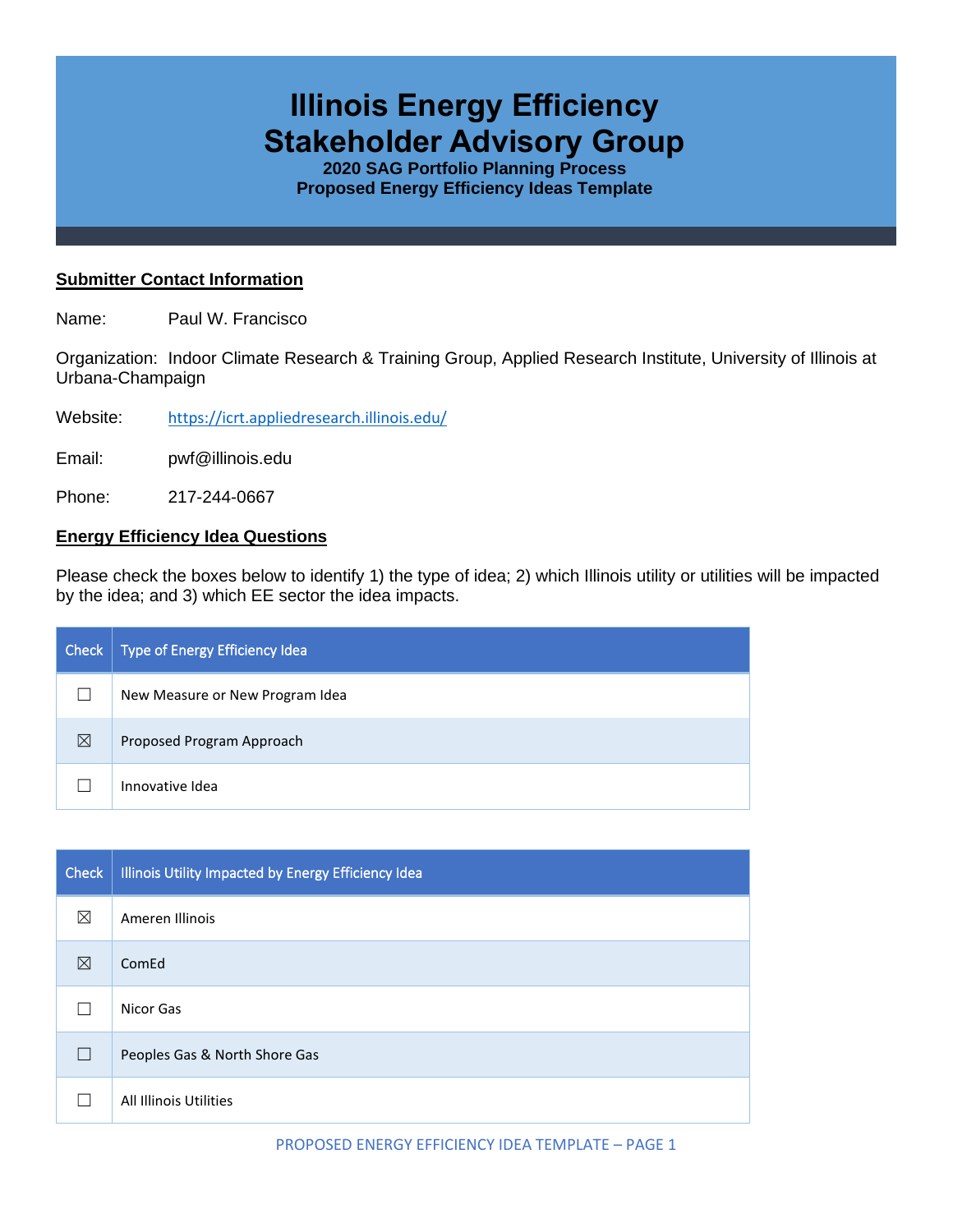# **Illinois Energy Efficiency Stakeholder Advisory Group**

**2020 SAG Portfolio Planning Process Proposed Energy Efficiency Ideas Template**

## **Submitter Contact Information**

Name: Paul W. Francisco

Organization: Indoor Climate Research & Training Group, Applied Research Institute, University of Illinois at Urbana-Champaign

Website: <https://icrt.appliedresearch.illinois.edu/>

Email: pwf@illinois.edu

Phone: 217-244-0667

## **Energy Efficiency Idea Questions**

Please check the boxes below to identify 1) the type of idea; 2) which Illinois utility or utilities will be impacted by the idea; and 3) which EE sector the idea impacts.

| Check | Type of Energy Efficiency Idea  |
|-------|---------------------------------|
|       | New Measure or New Program Idea |
| ⊠     | Proposed Program Approach       |
|       | Innovative Idea                 |

| Check  | Illinois Utility Impacted by Energy Efficiency Idea |
|--------|-----------------------------------------------------|
| ⊠      | Ameren Illinois                                     |
| ⊠      | ComEd                                               |
|        | Nicor Gas                                           |
| $\Box$ | Peoples Gas & North Shore Gas                       |
|        | All Illinois Utilities                              |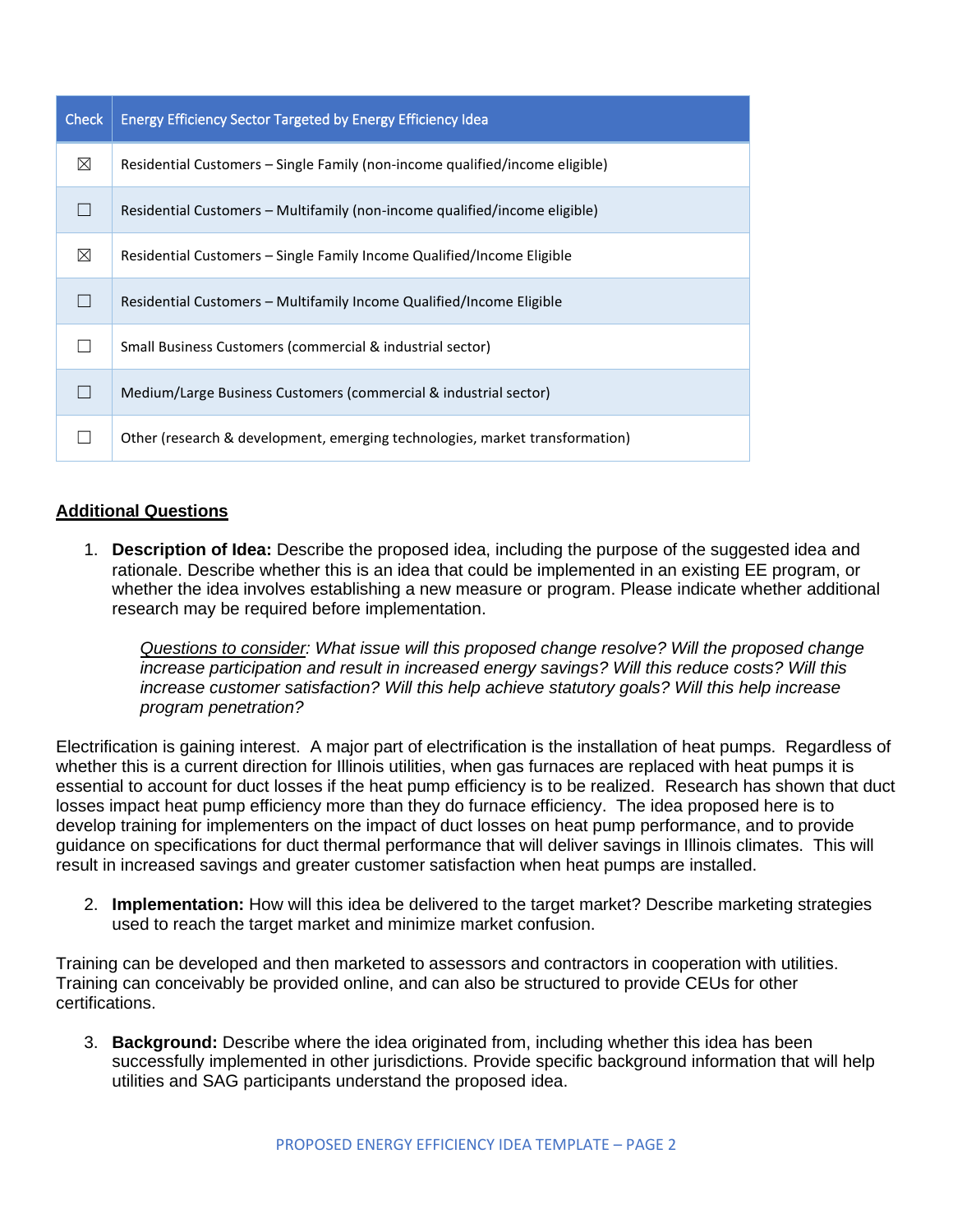| <b>Check</b> | Energy Efficiency Sector Targeted by Energy Efficiency Idea                  |
|--------------|------------------------------------------------------------------------------|
| $\boxtimes$  | Residential Customers – Single Family (non-income qualified/income eligible) |
|              | Residential Customers – Multifamily (non-income qualified/income eligible)   |
| ⊠            | Residential Customers - Single Family Income Qualified/Income Eligible       |
|              | Residential Customers – Multifamily Income Qualified/Income Eligible         |
|              | Small Business Customers (commercial & industrial sector)                    |
|              | Medium/Large Business Customers (commercial & industrial sector)             |
|              | Other (research & development, emerging technologies, market transformation) |

# **Additional Questions**

1. **Description of Idea:** Describe the proposed idea, including the purpose of the suggested idea and rationale. Describe whether this is an idea that could be implemented in an existing EE program, or whether the idea involves establishing a new measure or program. Please indicate whether additional research may be required before implementation.

*Questions to consider: What issue will this proposed change resolve? Will the proposed change increase participation and result in increased energy savings? Will this reduce costs? Will this increase customer satisfaction? Will this help achieve statutory goals? Will this help increase program penetration?* 

Electrification is gaining interest. A major part of electrification is the installation of heat pumps. Regardless of whether this is a current direction for Illinois utilities, when gas furnaces are replaced with heat pumps it is essential to account for duct losses if the heat pump efficiency is to be realized. Research has shown that duct losses impact heat pump efficiency more than they do furnace efficiency. The idea proposed here is to develop training for implementers on the impact of duct losses on heat pump performance, and to provide guidance on specifications for duct thermal performance that will deliver savings in Illinois climates. This will result in increased savings and greater customer satisfaction when heat pumps are installed.

2. **Implementation:** How will this idea be delivered to the target market? Describe marketing strategies used to reach the target market and minimize market confusion.

Training can be developed and then marketed to assessors and contractors in cooperation with utilities. Training can conceivably be provided online, and can also be structured to provide CEUs for other certifications.

3. **Background:** Describe where the idea originated from, including whether this idea has been successfully implemented in other jurisdictions. Provide specific background information that will help utilities and SAG participants understand the proposed idea.